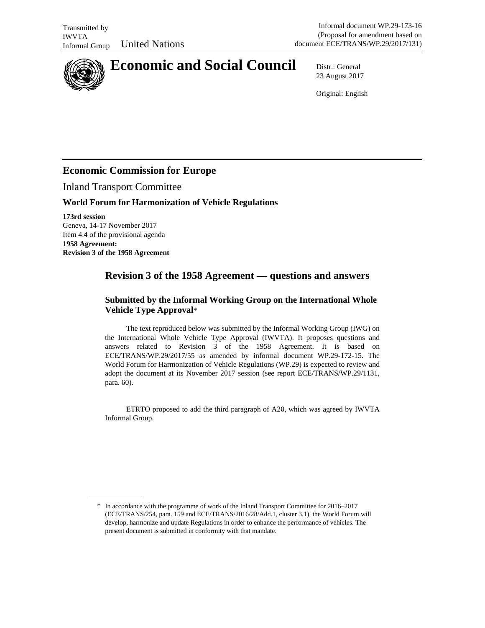

# **Economic and Social Council** Distr.: General

23 August 2017

Original: English

## **Economic Commission for Europe**

Inland Transport Committee

## **World Forum for Harmonization of Vehicle Regulations**

**173rd session**  Geneva, 14-17 November 2017 Item 4.4 of the provisional agenda **1958 Agreement: Revision 3 of the 1958 Agreement** 

 $\overline{a}$ 

## **Revision 3 of the 1958 Agreement — questions and answers**

## **Submitted by the Informal Working Group on the International Whole Vehicle Type Approval**\*

The text reproduced below was submitted by the Informal Working Group (IWG) on the International Whole Vehicle Type Approval (IWVTA). It proposes questions and answers related to Revision 3 of the 1958 Agreement. It is based on ECE/TRANS/WP.29/2017/55 as amended by informal document WP.29-172-15. The World Forum for Harmonization of Vehicle Regulations (WP.29) is expected to review and adopt the document at its November 2017 session (see report ECE/TRANS/WP.29/1131, para. 60).

ETRTO proposed to add the third paragraph of A20, which was agreed by IWVTA Informal Group.

<sup>\*</sup> In accordance with the programme of work of the Inland Transport Committee for 2016–2017 (ECE/TRANS/254, para. 159 and ECE/TRANS/2016/28/Add.1, cluster 3.1), the World Forum will develop, harmonize and update Regulations in order to enhance the performance of vehicles. The present document is submitted in conformity with that mandate.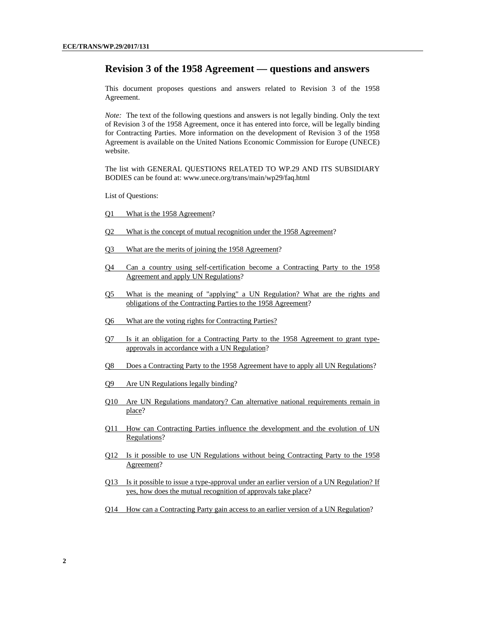## **Revision 3 of the 1958 Agreement — questions and answers**

This document proposes questions and answers related to Revision 3 of the 1958 Agreement.

*Note:* The text of the following questions and answers is not legally binding. Only the text of Revision 3 of the 1958 Agreement, once it has entered into force, will be legally binding for Contracting Parties. More information on the development of Revision 3 of the 1958 Agreement is available on the United Nations Economic Commission for Europe (UNECE) website.

The list with GENERAL QUESTIONS RELATED TO WP.29 AND ITS SUBSIDIARY BODIES can be found at: www.unece.org/trans/main/wp29/faq.html

List of Questions:

- Q1 What is the 1958 Agreement?
- Q2 What is the concept of mutual recognition under the 1958 Agreement?
- Q3 What are the merits of joining the 1958 Agreement?
- Q4 Can a country using self-certification become a Contracting Party to the 1958 Agreement and apply UN Regulations?
- Q5 What is the meaning of "applying" a UN Regulation? What are the rights and obligations of the Contracting Parties to the 1958 Agreement?
- Q6 What are the voting rights for Contracting Parties?
- Q7 Is it an obligation for a Contracting Party to the 1958 Agreement to grant typeapprovals in accordance with a UN Regulation?
- Q8 Does a Contracting Party to the 1958 Agreement have to apply all UN Regulations?
- Q9 Are UN Regulations legally binding?
- Q10 Are UN Regulations mandatory? Can alternative national requirements remain in place?
- Q11 How can Contracting Parties influence the development and the evolution of UN Regulations?
- Q12 Is it possible to use UN Regulations without being Contracting Party to the 1958 Agreement?
- Q13 Is it possible to issue a type-approval under an earlier version of a UN Regulation? If yes, how does the mutual recognition of approvals take place?
- Q14 How can a Contracting Party gain access to an earlier version of a UN Regulation?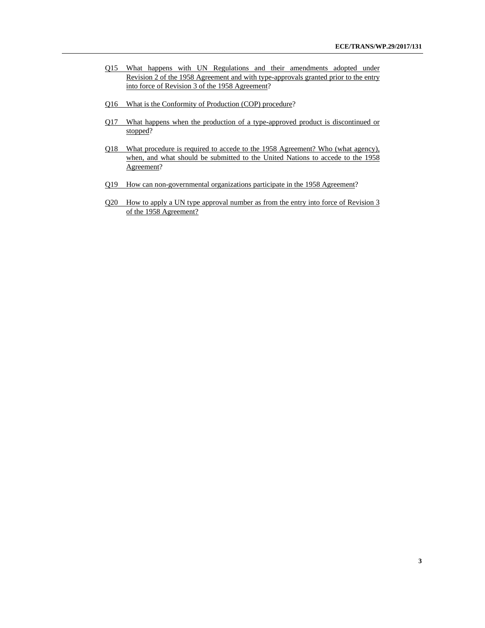- Q15 What happens with UN Regulations and their amendments adopted under Revision 2 of the 1958 Agreement and with type-approvals granted prior to the entry into force of Revision 3 of the 1958 Agreement?
- Q16 What is the Conformity of Production (COP) procedure?
- Q17 What happens when the production of a type-approved product is discontinued or stopped?
- Q18 What procedure is required to accede to the 1958 Agreement? Who (what agency), when, and what should be submitted to the United Nations to accede to the 1958 Agreement?
- Q19 How can non-governmental organizations participate in the 1958 Agreement?
- Q20 How to apply a UN type approval number as from the entry into force of Revision 3 of the 1958 Agreement?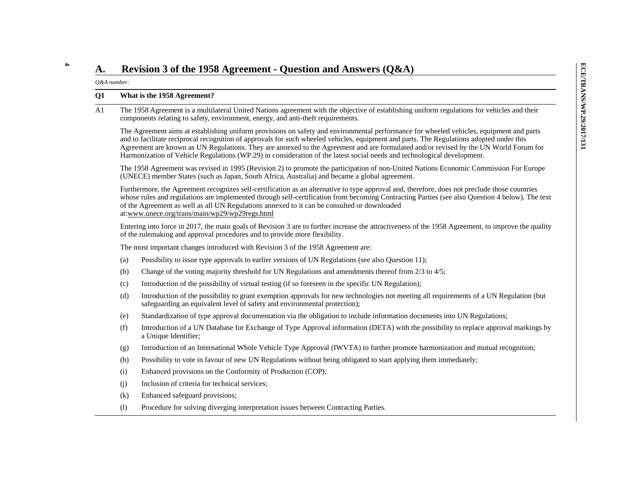**4**

**A.** Revision 3 of the 1958 Agreement - Question and Answers  $(Q\&A)$ <br>
Q&A number:<br>
Q1 What is the 1958 Agreement?<br>
The 1958 Agreement is a multilateral United Nations agreement with the objective of establishing uniform Harmonization of Vehicle Regulations (WP.29) in consideration of the latest social needs and technological development.

The 1958 Agreement was revised in 1995 (Revision 2) to promote the participation of non-United Nations Economic Commission For Europe (UNECE) member States (such as Japan, South Africa, Australia) and became a global agreement.

Furthermore, the Agreement recognizes self-certification as an alternative to type approval and, therefore, does not preclude those countries whose rules and regulations are implemented through self-certification from becoming Contracting Parties (see also Question 4 below). The text of the Agreement as well as all UN Regulations annexed to it can be consulted or downloaded at:www.unece.org/trans/main/wp29/wp29regs.html

Entering into force in 2017, the main goals of Revision 3 are to further increase the attractiveness of the 1958 Agreement, to improve the quality of the rulemaking and approval procedures and to provide more flexibility.

The most important changes introduced with Revision 3 of the 1958 Agreement are:

- (a) Possibility to issue type approvals to earlier versions of UN Regulations (see also Question 11);
- (b) Change of the voting majority threshold for UN Regulations and amendments thereof from 2/3 to 4/5;
- (c) Introduction of the possibility of virtual testing (if so foreseen in the specific UN Regulation);
- (d) Introduction of the possibility to grant exemption approvals for new technologies not meeting all requirements of a UN Regulation (but safeguarding an equivalent level of safety and environmental protection);
- (e) Standardization of type approval documentation via the obligation to include information documents into UN Regulations;
- (f) Introduction of a UN Database for Exchange of Type Approval information (DETA) with the possibility to replace approval markings by a Unique Identifier;
- (g) Introduction of an International Whole Vehicle Type Approval (IWVTA) to further promote harmonization and mutual recognition;
- (h) Possibility to vote in favour of new UN Regulations without being obligated to start applying them immediately;
- (i) Enhanced provisions on the Conformity of Production (COP);
- (j) Inclusion of criteria for technical services;
- (k) Enhanced safeguard provisions;
- (l) Procedure for solving diverging interpretation issues between Contracting Parties.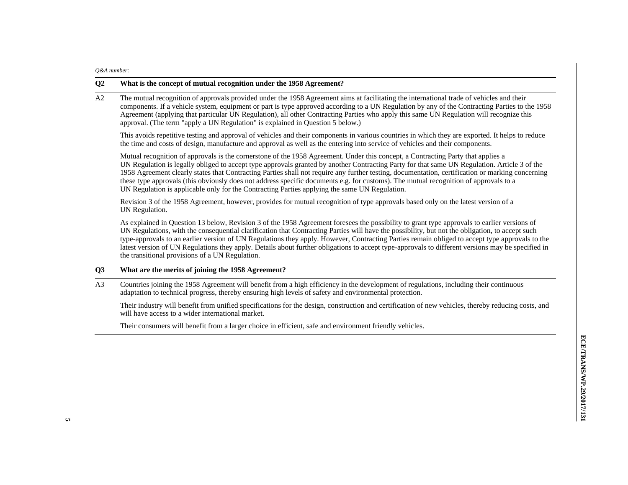#### *Q&A number:*

#### **Q2 What is the concept of mutual recognition under the 1958 Agreement?**

A2 The mutual recognition of approvals provided under the 1958 Agreement aims at facilitating the international trade of vehicles and their components. If a vehicle system, equipment or part is type approved according to a UN Regulation by any of the Contracting Parties to the 1958 Agreement (applying that particular UN Regulation), all other Contracting Parties who apply this same UN Regulation will recognize this approval. (The term "apply a UN Regulation" is explained in Question 5 below.)

This avoids repetitive testing and approval of vehicles and their components in various countries in which they are exported. It helps to reduce the time and costs of design, manufacture and approval as well as the entering into service of vehicles and their components.

Mutual recognition of approvals is the cornerstone of the 1958 Agreement. Under this concept, a Contracting Party that applies a UN Regulation is legally obliged to accept type approvals granted by another Contracting Party for that same UN Regulation. Article 3 of the 1958 Agreement clearly states that Contracting Parties shall not require any further testing, documentation, certification or marking concerning these type approvals (this obviously does not address specific documents e.g. for customs). The mutual recognition of approvals to a UN Regulation is applicable only for the Contracting Parties applying the same UN Regulation.

Revision 3 of the 1958 Agreement, however, provides for mutual recognition of type approvals based only on the latest version of a UN Regulation.

As explained in Question 13 below, Revision 3 of the 1958 Agreement foresees the possibility to grant type approvals to earlier versions of UN Regulations, with the consequential clarification that Contracting Parties will have the possibility, but not the obligation, to accept such type-approvals to an earlier version of UN Regulations they apply. However, Contracting Parties remain obliged to accept type approvals to the latest version of UN Regulations they apply. Details about further obligations to accept type-approvals to different versions may be specified in the transitional provisions of a UN Regulation.

### **Q3 What are the merits of joining the 1958 Agreement?**

A3 Countries joining the 1958 Agreement will benefit from a high efficiency in the development of regulations, including their continuous adaptation to technical progress, thereby ensuring high levels of safety and environmental protection.

Their industry will benefit from unified specifications for the design, construction and certification of new vehicles, thereby reducing costs, and will have access to a wider international market.

Their consumers will benefit from a larger choice in efficient, safe and environment friendly vehicles.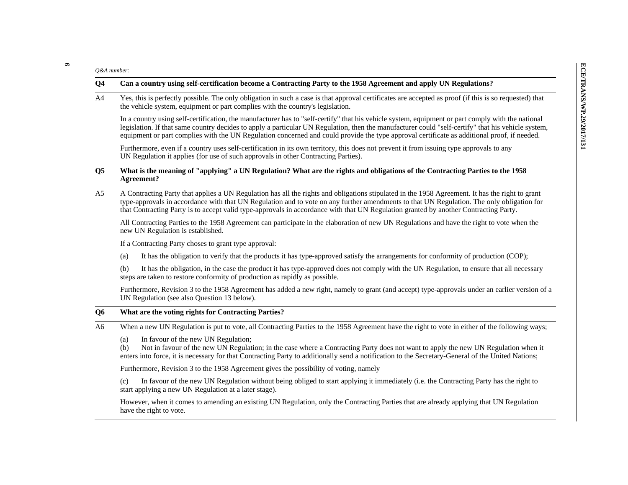26.4 number:<br> **Can a country using self-certification become a Contracting Party to the 1958 Agreement and apply UN Regulations?**<br>
The only obligation in such a case is that approval certificates are accepted as proof (if

UN Regulation it applies (for use of such approvals in other Contracting Parties).

### **Q5 What is the meaning of "applying" a UN Regulation? What are the rights and obligations of the Contracting Parties to the 1958 Agreement?**

A5 A Contracting Party that applies a UN Regulation has all the rights and obligations stipulated in the 1958 Agreement. It has the right to grant type-approvals in accordance with that UN Regulation and to vote on any further amendments to that UN Regulation. The only obligation for that Contracting Party is to accept valid type-approvals in accordance with that UN Regulation granted by another Contracting Party.

All Contracting Parties to the 1958 Agreement can participate in the elaboration of new UN Regulations and have the right to vote when the new UN Regulation is established.

If a Contracting Party choses to grant type approval:

(a) It has the obligation to verify that the products it has type-approved satisfy the arrangements for conformity of production (COP);

(b) It has the obligation, in the case the product it has type-approved does not comply with the UN Regulation, to ensure that all necessary steps are taken to restore conformity of production as rapidly as possible.

Furthermore, Revision 3 to the 1958 Agreement has added a new right, namely to grant (and accept) type-approvals under an earlier version of a UN Regulation (see also Question 13 below).

### **Q6 What are the voting rights for Contracting Parties?**

A6 When a new UN Regulation is put to vote, all Contracting Parties to the 1958 Agreement have the right to vote in either of the following ways;

(a) In favour of the new UN Regulation;

(b) Not in favour of the new UN Regulation; in the case where a Contracting Party does not want to apply the new UN Regulation when it enters into force, it is necessary for that Contracting Party to additionally send a notification to the Secretary-General of the United Nations;

Furthermore, Revision 3 to the 1958 Agreement gives the possibility of voting, namely

(c) In favour of the new UN Regulation without being obliged to start applying it immediately (i.e. the Contracting Party has the right to start applying a new UN Regulation at a later stage).

However, when it comes to amending an existing UN Regulation, only the Contracting Parties that are already applying that UN Regulation have the right to vote.

**6**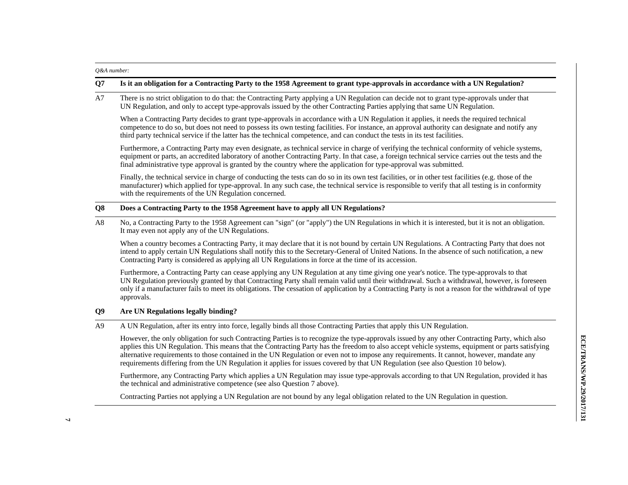#### *Q&A number:*

#### **Q7 Is it an obligation for a Contracting Party to the 1958 Agreement to grant type-approvals in accordance with a UN Regulation?**

A7 There is no strict obligation to do that: the Contracting Party applying a UN Regulation can decide not to grant type-approvals under that UN Regulation, and only to accept type-approvals issued by the other Contracting Parties applying that same UN Regulation.

When a Contracting Party decides to grant type-approvals in accordance with a UN Regulation it applies, it needs the required technical competence to do so, but does not need to possess its own testing facilities. For instance, an approval authority can designate and notify any third party technical service if the latter has the technical competence, and can conduct the tests in its test facilities.

Furthermore, a Contracting Party may even designate, as technical service in charge of verifying the technical conformity of vehicle systems, equipment or parts, an accredited laboratory of another Contracting Party. In that case, a foreign technical service carries out the tests and the final administrative type approval is granted by the country where the application for type-approval was submitted.

Finally, the technical service in charge of conducting the tests can do so in its own test facilities, or in other test facilities (e.g. those of the manufacturer) which applied for type-approval. In any such case, the technical service is responsible to verify that all testing is in conformity with the requirements of the UN Regulation concerned.

#### **Q8 Does a Contracting Party to the 1958 Agreement have to apply all UN Regulations?**

A8 No, a Contracting Party to the 1958 Agreement can "sign" (or "apply") the UN Regulations in which it is interested, but it is not an obligation. It may even not apply any of the UN Regulations.

When a country becomes a Contracting Party, it may declare that it is not bound by certain UN Regulations. A Contracting Party that does not intend to apply certain UN Regulations shall notify this to the Secretary-General of United Nations. In the absence of such notification, a new Contracting Party is considered as applying all UN Regulations in force at the time of its accession.

Furthermore, a Contracting Party can cease applying any UN Regulation at any time giving one year's notice. The type-approvals to that UN Regulation previously granted by that Contracting Party shall remain valid until their withdrawal. Such a withdrawal, however, is foreseen only if a manufacturer fails to meet its obligations. The cessation of application by a Contracting Party is not a reason for the withdrawal of type approvals.

### **Q9 Are UN Regulations legally binding?**

A9 A UN Regulation, after its entry into force, legally binds all those Contracting Parties that apply this UN Regulation.

However, the only obligation for such Contracting Parties is to recognize the type-approvals issued by any other Contracting Party, which also applies this UN Regulation. This means that the Contracting Party has the freedom to also accept vehicle systems, equipment or parts satisfying alternative requirements to those contained in the UN Regulation or even not to impose any requirements. It cannot, however, mandate any requirements differing from the UN Regulation it applies for issues covered by that UN Regulation (see also Question 10 below).

Furthermore, any Contracting Party which applies a UN Regulation may issue type-approvals according to that UN Regulation, provided it has the technical and administrative competence (see also Question 7 above).

Contracting Parties not applying a UN Regulation are not bound by any legal obligation related to the UN Regulation in question.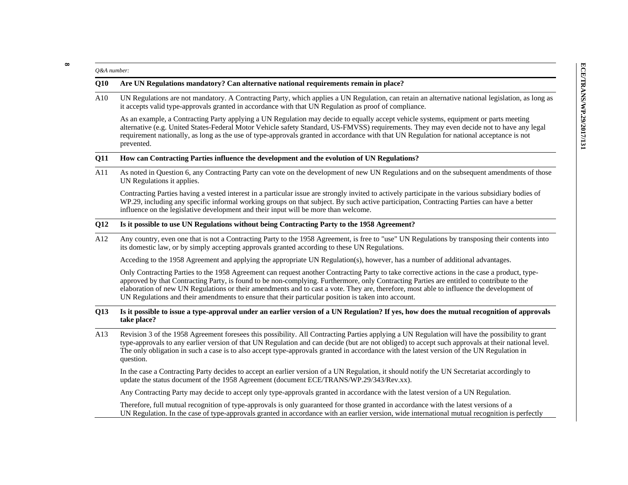26.4 number:<br>
2010 Are UN Regulations mandatory? Can alternative national requirements remain in place?<br>
2010 Are UN Regulations are not mandatory? Can alternative national requirements remain in place?<br>
2010 UN Regulatio

#### **Q11 How can Contracting Parties influence the development and the evolution of UN Regulations?**

A11 As noted in Question 6, any Contracting Party can vote on the development of new UN Regulations and on the subsequent amendments of those UN Regulations it applies.

Contracting Parties having a vested interest in a particular issue are strongly invited to actively participate in the various subsidiary bodies of WP.29, including any specific informal working groups on that subject. By such active participation, Contracting Parties can have a better influence on the legislative development and their input will be more than welcome.

### **Q12 Is it possible to use UN Regulations without being Contracting Party to the 1958 Agreement?**

A12 Any country, even one that is not a Contracting Party to the 1958 Agreement, is free to "use" UN Regulations by transposing their contents into its domestic law, or by simply accepting approvals granted according to these UN Regulations.

Acceding to the 1958 Agreement and applying the appropriate UN Regulation(s), however, has a number of additional advantages.

Only Contracting Parties to the 1958 Agreement can request another Contracting Party to take corrective actions in the case a product, typeapproved by that Contracting Party, is found to be non-complying. Furthermore, only Contracting Parties are entitled to contribute to the elaboration of new UN Regulations or their amendments and to cast a vote. They are, therefore, most able to influence the development of UN Regulations and their amendments to ensure that their particular position is taken into account.

#### **Q13 Is it possible to issue a type-approval under an earlier version of a UN Regulation? If yes, how does the mutual recognition of approvals take place?**

A13 Revision 3 of the 1958 Agreement foresees this possibility. All Contracting Parties applying a UN Regulation will have the possibility to grant type-approvals to any earlier version of that UN Regulation and can decide (but are not obliged) to accept such approvals at their national level. The only obligation in such a case is to also accept type-approvals granted in accordance with the latest version of the UN Regulation in question.

In the case a Contracting Party decides to accept an earlier version of a UN Regulation, it should notify the UN Secretariat accordingly to update the status document of the 1958 Agreement (document ECE/TRANS/WP.29/343/Rev.xx).

Any Contracting Party may decide to accept only type-approvals granted in accordance with the latest version of a UN Regulation.

Therefore, full mutual recognition of type-approvals is only guaranteed for those granted in accordance with the latest versions of a UN Regulation. In the case of type-approvals granted in accordance with an earlier version, wide international mutual recognition is perfectly

**8**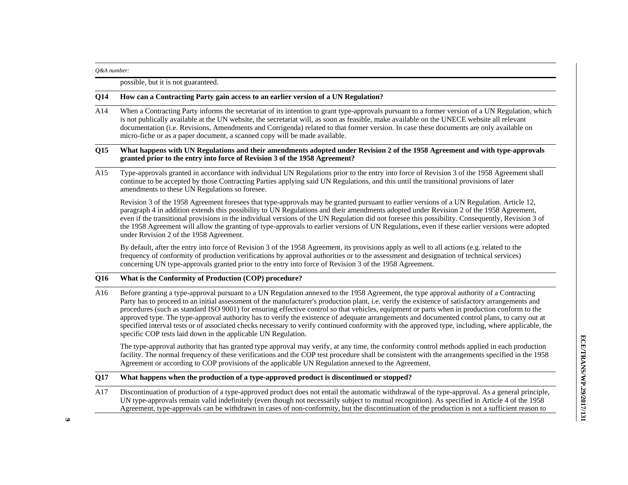#### *Q&A number:*

possible, but it is not guaranteed.

### **Q14 How can a Contracting Party gain access to an earlier version of a UN Regulation?**

A14 When a Contracting Party informs the secretariat of its intention to grant type-approvals pursuant to a former version of a UN Regulation, which is not publically available at the UN website, the secretariat will, as soon as feasible, make available on the UNECE website all relevant documentation (i.e. Revisions, Amendments and Corrigenda) related to that former version. In case these documents are only available on micro-fiche or as a paper document, a scanned copy will be made available.

### **Q15 What happens with UN Regulations and their amendments adopted under Revision 2 of the 1958 Agreement and with type-approvals granted prior to the entry into force of Revision 3 of the 1958 Agreement?**

A15 Type-approvals granted in accordance with individual UN Regulations prior to the entry into force of Revision 3 of the 1958 Agreement shall continue to be accepted by those Contracting Parties applying said UN Regulations, and this until the transitional provisions of later amendments to these UN Regulations so foresee.

Revision 3 of the 1958 Agreement foresees that type-approvals may be granted pursuant to earlier versions of a UN Regulation. Article 12, paragraph 4 in addition extends this possibility to UN Regulations and their amendments adopted under Revision 2 of the 1958 Agreement, even if the transitional provisions in the individual versions of the UN Regulation did not foresee this possibility. Consequently, Revision 3 of the 1958 Agreement will allow the granting of type-approvals to earlier versions of UN Regulations, even if these earlier versions were adopted under Revision 2 of the 1958 Agreement.

By default, after the entry into force of Revision 3 of the 1958 Agreement, its provisions apply as well to all actions (e.g. related to the frequency of conformity of production verifications by approval authorities or to the assessment and designation of technical services) concerning UN type-approvals granted prior to the entry into force of Revision 3 of the 1958 Agreement.

### **Q16 What is the Conformity of Production (COP) procedure?**

A16 Before granting a type-approval pursuant to a UN Regulation annexed to the 1958 Agreement, the type approval authority of a Contracting Party has to proceed to an initial assessment of the manufacturer's production plant, i.e. verify the existence of satisfactory arrangements and procedures (such as standard ISO 9001) for ensuring effective control so that vehicles, equipment or parts when in production conform to the approved type. The type-approval authority has to verify the existence of adequate arrangements and documented control plans, to carry out at specified interval tests or of associated checks necessary to verify continued conformity with the approved type, including, where applicable, the specific COP tests laid down in the applicable UN Regulation.

The type-approval authority that has granted type approval may verify, at any time, the conformity control methods applied in each production facility. The normal frequency of these verifications and the COP test procedure shall be consistent with the arrangements specified in the 1958 Agreement or according to COP provisions of the applicable UN Regulation annexed to the Agreement.

### **Q17 What happens when the production of a type-approved product is discontinued or stopped?**

A17 Discontinuation of production of a type-approved product does not entail the automatic withdrawal of the type-approval. As a general principle, UN type-approvals remain valid indefinitely (even though not necessarily subject to mutual recognition). As specified in Article 4 of the 1958 Agreement, type-approvals can be withdrawn in cases of non-conformity, but the discontinuation of the production is not a sufficient reason to